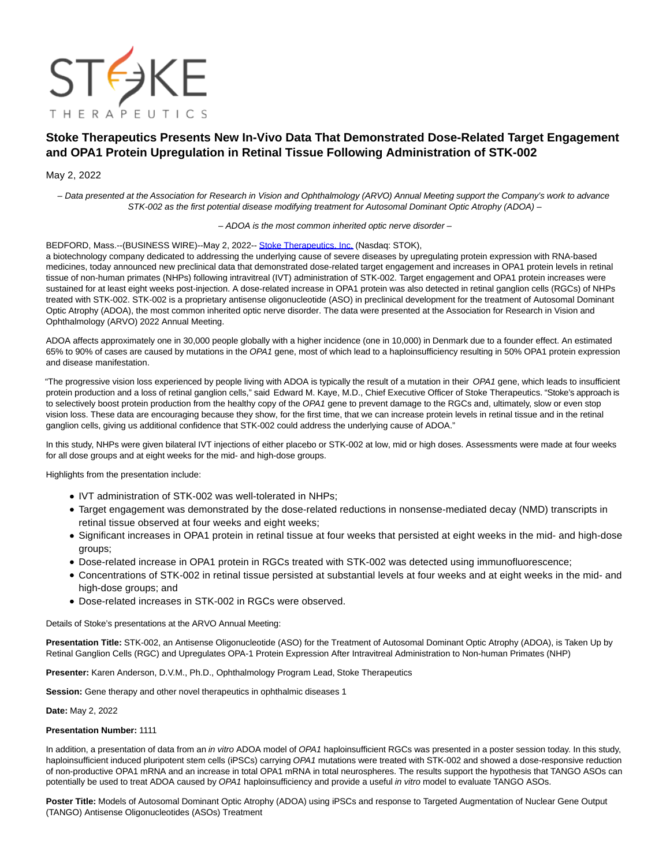

# **Stoke Therapeutics Presents New In-Vivo Data That Demonstrated Dose-Related Target Engagement and OPA1 Protein Upregulation in Retinal Tissue Following Administration of STK-002**

## May 2, 2022

– Data presented at the Association for Research in Vision and Ophthalmology (ARVO) Annual Meeting support the Company's work to advance STK-002 as the first potential disease modifying treatment for Autosomal Dominant Optic Atrophy (ADOA) –

– ADOA is the most common inherited optic nerve disorder –

#### BEDFORD, Mass.--(BUSINESS WIRE)--May 2, 2022-- [Stoke Therapeutics, Inc. \(](https://cts.businesswire.com/ct/CT?id=smartlink&url=https%3A%2F%2Fwww.stoketherapeutics.com%2F&esheet=52704774&newsitemid=20220502005763&lan=en-US&anchor=Stoke+Therapeutics%2C+Inc.&index=1&md5=94e30481f2f1e2a0ae70718ea278b4de)Nasdaq: STOK),

a biotechnology company dedicated to addressing the underlying cause of severe diseases by upregulating protein expression with RNA-based medicines, today announced new preclinical data that demonstrated dose-related target engagement and increases in OPA1 protein levels in retinal tissue of non-human primates (NHPs) following intravitreal (IVT) administration of STK-002. Target engagement and OPA1 protein increases were sustained for at least eight weeks post-injection. A dose-related increase in OPA1 protein was also detected in retinal ganglion cells (RGCs) of NHPs treated with STK-002. STK-002 is a proprietary antisense oligonucleotide (ASO) in preclinical development for the treatment of Autosomal Dominant Optic Atrophy (ADOA), the most common inherited optic nerve disorder. The data were presented at the Association for Research in Vision and Ophthalmology (ARVO) 2022 Annual Meeting.

ADOA affects approximately one in 30,000 people globally with a higher incidence (one in 10,000) in Denmark due to a founder effect. An estimated 65% to 90% of cases are caused by mutations in the OPA1 gene, most of which lead to a haploinsufficiency resulting in 50% OPA1 protein expression and disease manifestation.

"The progressive vision loss experienced by people living with ADOA is typically the result of a mutation in their OPA1 gene, which leads to insufficient protein production and a loss of retinal ganglion cells," said Edward M. Kaye, M.D., Chief Executive Officer of Stoke Therapeutics. "Stoke's approach is to selectively boost protein production from the healthy copy of the OPA1 gene to prevent damage to the RGCs and, ultimately, slow or even stop vision loss. These data are encouraging because they show, for the first time, that we can increase protein levels in retinal tissue and in the retinal ganglion cells, giving us additional confidence that STK-002 could address the underlying cause of ADOA."

In this study, NHPs were given bilateral IVT injections of either placebo or STK-002 at low, mid or high doses. Assessments were made at four weeks for all dose groups and at eight weeks for the mid- and high-dose groups.

Highlights from the presentation include:

- IVT administration of STK-002 was well-tolerated in NHPs;
- Target engagement was demonstrated by the dose-related reductions in nonsense-mediated decay (NMD) transcripts in retinal tissue observed at four weeks and eight weeks;
- Significant increases in OPA1 protein in retinal tissue at four weeks that persisted at eight weeks in the mid- and high-dose groups;
- Dose-related increase in OPA1 protein in RGCs treated with STK-002 was detected using immunofluorescence;
- Concentrations of STK-002 in retinal tissue persisted at substantial levels at four weeks and at eight weeks in the mid- and high-dose groups; and
- Dose-related increases in STK-002 in RGCs were observed.

Details of Stoke's presentations at the ARVO Annual Meeting:

**Presentation Title:** STK-002, an Antisense Oligonucleotide (ASO) for the Treatment of Autosomal Dominant Optic Atrophy (ADOA), is Taken Up by Retinal Ganglion Cells (RGC) and Upregulates OPA-1 Protein Expression After Intravitreal Administration to Non-human Primates (NHP)

**Presenter:** Karen Anderson, D.V.M., Ph.D., Ophthalmology Program Lead, Stoke Therapeutics

**Session:** Gene therapy and other novel therapeutics in ophthalmic diseases 1

## **Date:** May 2, 2022

## **Presentation Number:** 1111

In addition, a presentation of data from an in vitro ADOA model of OPA1 haploinsufficient RGCs was presented in a poster session today. In this study, haploinsufficient induced pluripotent stem cells (iPSCs) carrying OPA1 mutations were treated with STK-002 and showed a dose-responsive reduction of non-productive OPA1 mRNA and an increase in total OPA1 mRNA in total neurospheres. The results support the hypothesis that TANGO ASOs can potentially be used to treat ADOA caused by OPA1 haploinsufficiency and provide a useful in vitro model to evaluate TANGO ASOs.

**Poster Title:** Models of Autosomal Dominant Optic Atrophy (ADOA) using iPSCs and response to Targeted Augmentation of Nuclear Gene Output (TANGO) Antisense Oligonucleotides (ASOs) Treatment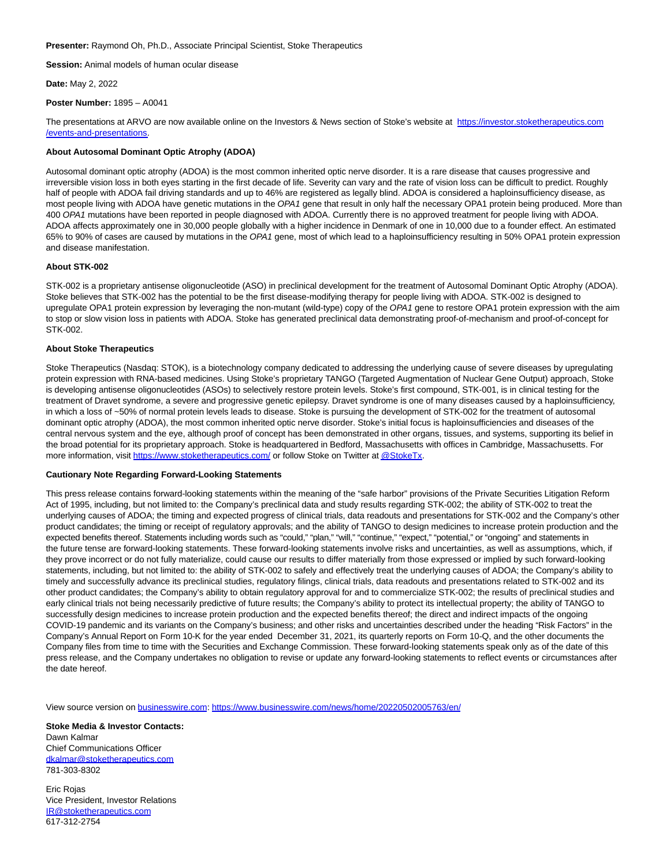**Presenter:** Raymond Oh, Ph.D., Associate Principal Scientist, Stoke Therapeutics

**Session:** Animal models of human ocular disease

**Date:** May 2, 2022

**Poster Number:** 1895 – A0041

The presentations at ARVO are now available online on the Investors & News section of Stoke's website at [https://investor.stoketherapeutics.com](https://cts.businesswire.com/ct/CT?id=smartlink&url=https%3A%2F%2Finvestor.stoketherapeutics.com%2Fevents-and-presentations&esheet=52704774&newsitemid=20220502005763&lan=en-US&anchor=https%3A%2F%2Finvestor.stoketherapeutics.com%2Fevents-and-presentations&index=2&md5=105084c7ad79af360cc54fe2f146b6b0) /events-and-presentations.

## **About Autosomal Dominant Optic Atrophy (ADOA)**

Autosomal dominant optic atrophy (ADOA) is the most common inherited optic nerve disorder. It is a rare disease that causes progressive and irreversible vision loss in both eyes starting in the first decade of life. Severity can vary and the rate of vision loss can be difficult to predict. Roughly half of people with ADOA fail driving standards and up to 46% are registered as legally blind. ADOA is considered a haploinsufficiency disease, as most people living with ADOA have genetic mutations in the OPA1 gene that result in only half the necessary OPA1 protein being produced. More than 400 OPA1 mutations have been reported in people diagnosed with ADOA. Currently there is no approved treatment for people living with ADOA. ADOA affects approximately one in 30,000 people globally with a higher incidence in Denmark of one in 10,000 due to a founder effect. An estimated 65% to 90% of cases are caused by mutations in the OPA1 gene, most of which lead to a haploinsufficiency resulting in 50% OPA1 protein expression and disease manifestation.

## **About STK-002**

STK-002 is a proprietary antisense oligonucleotide (ASO) in preclinical development for the treatment of Autosomal Dominant Optic Atrophy (ADOA). Stoke believes that STK-002 has the potential to be the first disease-modifying therapy for people living with ADOA. STK-002 is designed to upregulate OPA1 protein expression by leveraging the non-mutant (wild-type) copy of the OPA1 gene to restore OPA1 protein expression with the aim to stop or slow vision loss in patients with ADOA. Stoke has generated preclinical data demonstrating proof-of-mechanism and proof-of-concept for STK-002.

#### **About Stoke Therapeutics**

Stoke Therapeutics (Nasdaq: STOK), is a biotechnology company dedicated to addressing the underlying cause of severe diseases by upregulating protein expression with RNA-based medicines. Using Stoke's proprietary TANGO (Targeted Augmentation of Nuclear Gene Output) approach, Stoke is developing antisense oligonucleotides (ASOs) to selectively restore protein levels. Stoke's first compound, STK-001, is in clinical testing for the treatment of Dravet syndrome, a severe and progressive genetic epilepsy. Dravet syndrome is one of many diseases caused by a haploinsufficiency, in which a loss of ~50% of normal protein levels leads to disease. Stoke is pursuing the development of STK-002 for the treatment of autosomal dominant optic atrophy (ADOA), the most common inherited optic nerve disorder. Stoke's initial focus is haploinsufficiencies and diseases of the central nervous system and the eye, although proof of concept has been demonstrated in other organs, tissues, and systems, supporting its belief in the broad potential for its proprietary approach. Stoke is headquartered in Bedford, Massachusetts with offices in Cambridge, Massachusetts. For more information, visit [https://www.stoketherapeutics.com/ o](https://cts.businesswire.com/ct/CT?id=smartlink&url=https%3A%2F%2Fwww.stoketherapeutics.com%2F&esheet=52704774&newsitemid=20220502005763&lan=en-US&anchor=https%3A%2F%2Fwww.stoketherapeutics.com%2F&index=3&md5=5c805ef441f3a2520c16e1bd7f1da787)r follow Stoke on Twitter a[t @StokeTx.](https://cts.businesswire.com/ct/CT?id=smartlink&url=https%3A%2F%2Ftwitter.com%2FStokeTx&esheet=52704774&newsitemid=20220502005763&lan=en-US&anchor=%40StokeTx&index=4&md5=d6e1461c726ec28d718e53863f0f9bc0)

#### **Cautionary Note Regarding Forward-Looking Statements**

This press release contains forward-looking statements within the meaning of the "safe harbor" provisions of the Private Securities Litigation Reform Act of 1995, including, but not limited to: the Company's preclinical data and study results regarding STK-002; the ability of STK-002 to treat the underlying causes of ADOA; the timing and expected progress of clinical trials, data readouts and presentations for STK-002 and the Company's other product candidates; the timing or receipt of regulatory approvals; and the ability of TANGO to design medicines to increase protein production and the expected benefits thereof. Statements including words such as "could," "plan," "will," "continue," "expect," "potential," or "ongoing" and statements in the future tense are forward-looking statements. These forward-looking statements involve risks and uncertainties, as well as assumptions, which, if they prove incorrect or do not fully materialize, could cause our results to differ materially from those expressed or implied by such forward-looking statements, including, but not limited to: the ability of STK-002 to safely and effectively treat the underlying causes of ADOA; the Company's ability to timely and successfully advance its preclinical studies, regulatory filings, clinical trials, data readouts and presentations related to STK-002 and its other product candidates; the Company's ability to obtain regulatory approval for and to commercialize STK-002; the results of preclinical studies and early clinical trials not being necessarily predictive of future results; the Company's ability to protect its intellectual property; the ability of TANGO to successfully design medicines to increase protein production and the expected benefits thereof; the direct and indirect impacts of the ongoing COVID-19 pandemic and its variants on the Company's business; and other risks and uncertainties described under the heading "Risk Factors" in the Company's Annual Report on Form 10-K for the year ended December 31, 2021, its quarterly reports on Form 10-Q, and the other documents the Company files from time to time with the Securities and Exchange Commission. These forward-looking statements speak only as of the date of this press release, and the Company undertakes no obligation to revise or update any forward-looking statements to reflect events or circumstances after the date hereof.

View source version on [businesswire.com:](http://businesswire.com/)<https://www.businesswire.com/news/home/20220502005763/en/>

**Stoke Media & Investor Contacts:** Dawn Kalmar Chief Communications Officer [dkalmar@stoketherapeutics.com](mailto:dkalmar@stoketherapeutics.com) 781-303-8302

Eric Rojas Vice President, Investor Relations [IR@stoketherapeutics.com](mailto:IR@stoketherapeutics.com) 617-312-2754